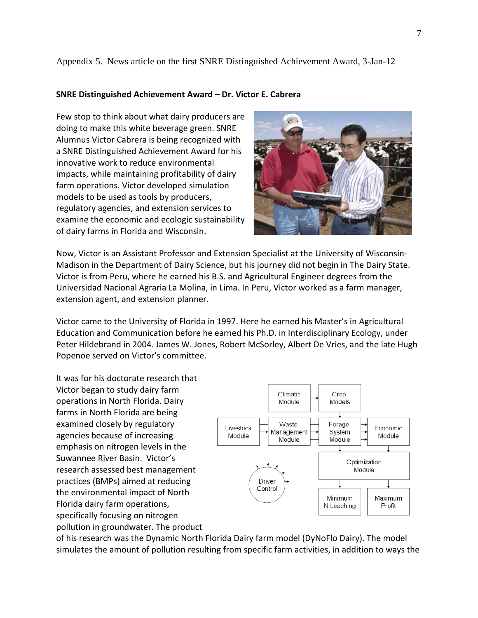## Appendix 5. News article on the first SNRE Distinguished Achievement Award, 3-Jan-12

## **SNRE Distinguished Achievement Award – Dr. Victor E. Cabrera**

Few stop to think about what dairy producers are doing to make this white beverage green. SNRE Alumnus Victor Cabrera is being recognized with a SNRE Distinguished Achievement Award for his innovative work to reduce environmental impacts, while maintaining profitability of dairy farm operations. Victor developed simulation models to be used as tools by producers, regulatory agencies, and extension services to examine the economic and ecologic sustainability of dairy farms in Florida and Wisconsin.



Now, Victor is an Assistant Professor and Extension Specialist at the University of Wisconsin-Madison in the Department of Dairy Science, but his journey did not begin in The Dairy State. Victor is from Peru, where he earned his B.S. and Agricultural Engineer degrees from the Universidad Nacional Agraria La Molina, in Lima. In Peru, Victor worked as a farm manager, extension agent, and extension planner.

Victor came to the University of Florida in 1997. Here he earned his Master's in Agricultural Education and Communication before he earned his Ph.D. in Interdisciplinary Ecology, under Peter Hildebrand in 2004. James W. Jones, Robert McSorley, Albert De Vries, and the late Hugh Popenoe served on Victor's committee.

It was for his doctorate research that Victor began to study dairy farm operations in North Florida. Dairy farms in North Florida are being examined closely by regulatory agencies because of increasing emphasis on nitrogen levels in the Suwannee River Basin. Victor's research assessed best management practices (BMPs) aimed at reducing the environmental impact of North Florida dairy farm operations, specifically focusing on nitrogen pollution in groundwater. The product



of his research was the Dynamic North Florida Dairy farm model (DyNoFlo Dairy). The model simulates the amount of pollution resulting from specific farm activities, in addition to ways the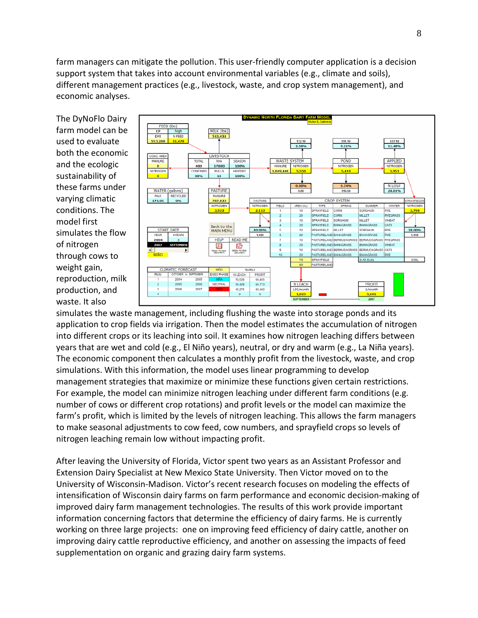farm managers can mitigate the pollution. This user-friendly computer application is a decision support system that takes into account environmental variables (e.g., climate and soils), different management practices (e.g., livestock, waste, and crop system management), and economic analyses.

The DyNoFlo Dairy farm model can be used to evaluate both the economic and the ecologic sustainability of these farms under varying climatic conditions. The model first simulates the flow of nitrogen through cows to weight gain, reproduction, milk production, and waste. It also



simulates the waste management, including flushing the waste into storage ponds and its application to crop fields via irrigation. Then the model estimates the accumulation of nitrogen into different crops or its leaching into soil. It examines how nitrogen leaching differs between years that are wet and cold (e.g., El Niño years), neutral, or dry and warm (e.g., La Niña years). The economic component then calculates a monthly profit from the livestock, waste, and crop simulations. With this information, the model uses linear programming to develop management strategies that maximize or minimize these functions given certain restrictions. For example, the model can minimize nitrogen leaching under different farm conditions (e.g. number of cows or different crop rotations) and profit levels or the model can maximize the farm's profit, which is limited by the levels of nitrogen leaching. This allows the farm managers to make seasonal adjustments to cow feed, cow numbers, and sprayfield crops so levels of nitrogen leaching remain low without impacting profit.

After leaving the University of Florida, Victor spent two years as an Assistant Professor and Extension Dairy Specialist at New Mexico State University. Then Victor moved on to the University of Wisconsin-Madison. Victor's recent research focuses on modeling the effects of intensification of Wisconsin dairy farms on farm performance and economic decision-making of improved dairy farm management technologies. The results of this work provide important information concerning factors that determine the efficiency of dairy farms. He is currently working on three large projects: one on improving feed efficiency of dairy cattle, another on improving dairy cattle reproductive efficiency, and another on assessing the impacts of feed supplementation on organic and grazing dairy farm systems.